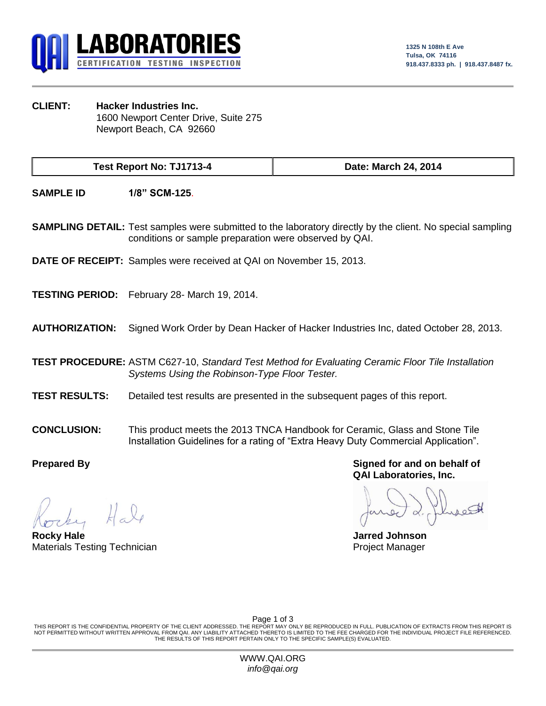

**CLIENT: Hacker Industries Inc.** 1600 Newport Center Drive, Suite 275 Newport Beach, CA 92660

**Test Report No: TJ1713-4 Date: March 24, 2014**

**SAMPLE ID 1/8" SCM-125**.

**SAMPLING DETAIL:** Test samples were submitted to the laboratory directly by the client. No special sampling conditions or sample preparation were observed by QAI.

**DATE OF RECEIPT:** Samples were received at QAI on November 15, 2013.

**TESTING PERIOD:** February 28- March 19, 2014.

**AUTHORIZATION:** Signed Work Order by Dean Hacker of Hacker Industries Inc, dated October 28, 2013.

**TEST PROCEDURE:** ASTM C627-10, *Standard Test Method for Evaluating Ceramic Floor Tile Installation Systems Using the Robinson-Type Floor Tester.*

- **TEST RESULTS:** Detailed test results are presented in the subsequent pages of this report.
- **CONCLUSION:** This product meets the 2013 TNCA Handbook for Ceramic, Glass and Stone Tile Installation Guidelines for a rating of "Extra Heavy Duty Commercial Application".

**Rocky Hale Jarred Johnson** Materials Testing Technician **Project Manager** Project Manager

**Prepared By Signed for and on behalf of QAI Laboratories, Inc.**

Page 1 of 3

THIS REPORT IS THE CONFIDENTIAL PROPERTY OF THE CLIENT ADDRESSED. THE REPORT MAY ONLY BE REPRODUCED IN FULL. PUBLICATION OF EXTRACTS FROM THIS REPORT IS NOT PERMITTED WITHOUT WRITTEN APPROVAL FROM QAI. ANY LIABILITY ATTACHED THERETO IS LIMITED TO THE FEE CHARGED FOR THE INDIVIDUAL PROJECT FILE REFERENCED. THE RESULTS OF THIS REPORT PERTAIN ONLY TO THE SPECIFIC SAMPLE(S) EVALUATED.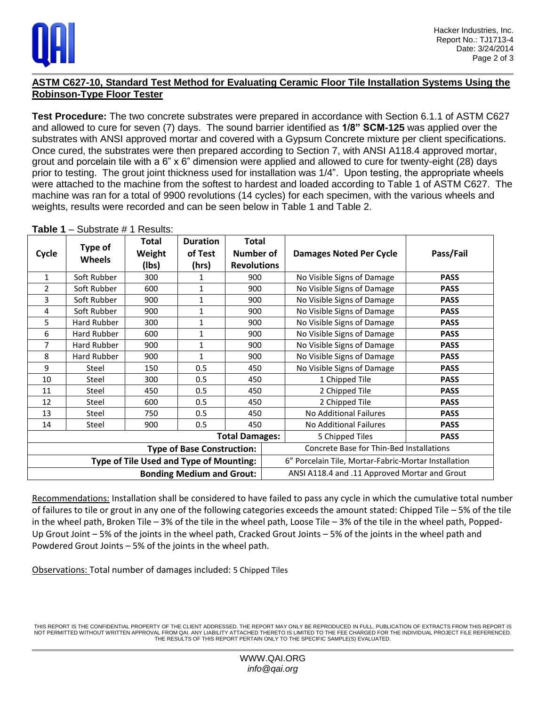

## **ASTM C627-10, Standard Test Method for Evaluating Ceramic Floor Tile Installation Systems Using the Robinson-Type Floor Tester**

**Test Procedure:** The two concrete substrates were prepared in accordance with Section 6.1.1 of ASTM C627 and allowed to cure for seven (7) days. The sound barrier identified as **1/8" SCM-125** was applied over the substrates with ANSI approved mortar and covered with a Gypsum Concrete mixture per client specifications. Once cured, the substrates were then prepared according to Section 7, with ANSI A118.4 approved mortar, grout and porcelain tile with a 6" x 6" dimension were applied and allowed to cure for twenty-eight (28) days prior to testing. The grout joint thickness used for installation was 1/4". Upon testing, the appropriate wheels were attached to the machine from the softest to hardest and loaded according to Table 1 of ASTM C627. The machine was ran for a total of 9900 revolutions (14 cycles) for each specimen, with the various wheels and weights, results were recorded and can be seen below in Table 1 and Table 2.

| Cycle                            | Type of<br><b>Wheels</b> | Total<br>Weight<br>(Ibs)                       | <b>Duration</b><br>of Test<br>(hrs) | <b>Total</b><br><b>Number of</b><br><b>Revolutions</b> | <b>Damages Noted Per Cycle</b>                       | Pass/Fail   |  |
|----------------------------------|--------------------------|------------------------------------------------|-------------------------------------|--------------------------------------------------------|------------------------------------------------------|-------------|--|
| $\mathbf{1}$                     | Soft Rubber              | 300                                            | 1                                   | 900                                                    | No Visible Signs of Damage                           | <b>PASS</b> |  |
| $\overline{2}$                   | Soft Rubber              | 600                                            | $\mathbf{1}$                        | 900                                                    | No Visible Signs of Damage                           | <b>PASS</b> |  |
| 3                                | Soft Rubber              | 900                                            | $\mathbf{1}$                        | 900                                                    | No Visible Signs of Damage                           | <b>PASS</b> |  |
| 4                                | Soft Rubber              | 900                                            | 1                                   | 900                                                    | No Visible Signs of Damage                           | <b>PASS</b> |  |
| 5                                | Hard Rubber              | 300                                            | $\mathbf{1}$                        | 900                                                    | No Visible Signs of Damage                           | <b>PASS</b> |  |
| 6                                | Hard Rubber              | 600                                            | 1                                   | 900                                                    | No Visible Signs of Damage                           | <b>PASS</b> |  |
| 7                                | Hard Rubber              | 900                                            | 1                                   | 900                                                    | No Visible Signs of Damage                           | <b>PASS</b> |  |
| 8                                | Hard Rubber              | 900                                            | $\mathbf{1}$                        | 900                                                    | No Visible Signs of Damage                           | <b>PASS</b> |  |
| 9                                | Steel                    | 150                                            | 0.5                                 | 450                                                    | No Visible Signs of Damage                           | <b>PASS</b> |  |
| 10                               | Steel                    | 300                                            | 0.5                                 | 450                                                    | 1 Chipped Tile                                       | <b>PASS</b> |  |
| 11                               | Steel                    | 450                                            | 0.5                                 | 450                                                    | 2 Chipped Tile                                       | <b>PASS</b> |  |
| 12                               | Steel                    | 600                                            | 0.5                                 | 450                                                    | 2 Chipped Tile                                       | <b>PASS</b> |  |
| 13                               | Steel                    | 750                                            | 0.5                                 | 450                                                    | No Additional Failures                               | <b>PASS</b> |  |
| 14                               | Steel                    | 900                                            | 0.5                                 | 450                                                    | No Additional Failures                               | <b>PASS</b> |  |
| <b>Total Damages:</b>            |                          |                                                |                                     |                                                        | 5 Chipped Tiles                                      | <b>PASS</b> |  |
|                                  |                          |                                                | <b>Type of Base Construction:</b>   |                                                        | Concrete Base for Thin-Bed Installations             |             |  |
|                                  |                          | <b>Type of Tile Used and Type of Mounting:</b> |                                     |                                                        | 6" Porcelain Tile, Mortar-Fabric-Mortar Installation |             |  |
| <b>Bonding Medium and Grout:</b> |                          |                                                |                                     |                                                        | ANSI A118.4 and .11 Approved Mortar and Grout        |             |  |

**Table 1** – Substrate # 1 Results:

Recommendations: Installation shall be considered to have failed to pass any cycle in which the cumulative total number of failures to tile or grout in any one of the following categories exceeds the amount stated: Chipped Tile – 5% of the tile in the wheel path, Broken Tile – 3% of the tile in the wheel path, Loose Tile – 3% of the tile in the wheel path, Popped-Up Grout Joint – 5% of the joints in the wheel path, Cracked Grout Joints – 5% of the joints in the wheel path and Powdered Grout Joints – 5% of the joints in the wheel path.

Observations: Total number of damages included: 5 Chipped Tiles

THIS REPORT IS THE CONFIDENTIAL PROPERTY OF THE CLIENT ADDRESSED. THE REPORT MAY ONLY BE REPRODUCED IN FULL. PUBLICATION OF EXTRACTS FROM THIS REPORT IS NOT PERMITTED WITHOUT WRITTEN APPROVAL FROM QAI. ANY LIABILITY ATTACHED THERETO IS LIMITED TO THE FEE CHARGED FOR THE INDIVIDUAL PROJECT FILE REFERENCED. THE RESULTS OF THIS REPORT PERTAIN ONLY TO THE SPECIFIC SAMPLE(S) EVALUATED.